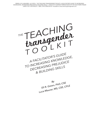

By<br>Eli R. Green, PhD, CSE<br><sub>14S</sub> CSE, C *Luca Maurer, MS, CSE, CFLE*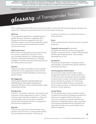GREEN, E.R. & MAURER, L.M. (2015). THE TEACHING TRANSGENDER TOOLKIT: A FACILITATOR'S GUIDE TO INCREASING KNOWLEDGE, DECREASING PREJUDICE & BUILDING SKILLS. ITHACA NY: PLANNED PARENTHOOD OF THE SOUTHERN FINGER LAKES: OUT FOR HEALTH. ISBN: 978-0-9966783-0-8 Available at www.teachingtransgender.com

### PARTICIPANT HANDOUT

# glossary of Transgender Terms

This is a glossary of some of the more common terms that are used when discussing transgender identities and experiences. Definitions and preferred terms will vary by location and group.

#### **Affrming:**

The unequivocal support for an individual person's gender identity or expression, regardless of the biological sex they were assigned at birth; the systematic support to ensure that transgender people and communities are fully represented, included, valued and honored.

#### **Affrming Pronouns:**

Refers to the most respectful and accurate pronouns for a person, as defined by that person. This is also sometimes referred to as "preferred gender pronouns," although this phrasing is increasingly outdated. To ascertain someone's affrming pronouns, ask: "What are your pronouns?"

#### **Agender:**

A person who does not identify as having a gender identity that can be categorized as male or female, and sometimes indicates identifying as not having a gender identity.

#### **AG/ Aggressive:**

A term used to describe a female-bodied and identifed person who prefers presenting as masculine. This term is most commonly used in urban communities of color.

#### **Biological Sex:**

A person's combination of genitals, chromosomes and hormones, usually categorized as "male" or "female" based on visual inspection of genitals via ultrasound or at birth. Many assume that a person's gender identity will be congruent with their sex assignment. Everyone has a biological sex.

#### **Bigender:**

A person who experiences gender identity as two genders at the same time, or whose gender identity may vary between two genders. These may be

masculine and feminine, or could also include nonbinary identities.

#### **Butch:**

A term used to describe a masculine person or gender expression.

#### **Cisgender: (pronounced /***sis-gender/):*

An adjective to describe a person whose gender identity is congruent with (or "matches") the biological sex they were assigned at birth. (Some people abbreviate this as "cis").

#### **Coming Out**:

The process through which a transgender person acknowledges and explains their gender identity to themselves and others.

#### **(Anti-Transgender) Discrimination:**

Any of a broad range of actions taken to deny transgender people access to situations/places or to infict harm upon transgender people. Examples of discrimination include: not hiring a transgender person, threatening a gender non-conforming person's physical safety, denying a transgender person access to services, or reporting someone for using the "wrong" bathroom.

#### **Gender Binary:**

The idea that gender is strictly an either/or option of male/men/masculine or female/woman/feminine based on sex assigned at birth, rather than a continuum or spectrum of gender identities and expressions. The gender binary is often considered to be limiting and problematic for all people, and especially for those who do not fit neatly into the either/or categories.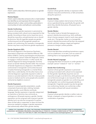#### **Femme:**

A term used to describe a feminine person or gender expression.

#### **Femme Queen:**

A term used to describe someone who is male bodied but identifes as and expresses feminine gender. Used primarily in urban communities, particularly in communities of color and ballroom communities.

#### **Gender Conforming**:

A person whose gender expression is perceived as being consistent with cultural norms expected for that gender. According to these norms, boys/men are or should be masculine, and girls/women are or should be feminine. Not all cisgender people are gender conforming and not all transgender people are gender non-conforming. (For example, a transgender woman may have a very feminine gender expression).

#### **Gender Dysphoria (GD):**

The formal diagnosis in the American Psychiatric Association's *Diagnostic and Statistical Manual, Fifth Edition (DSM 5),* used by psychologists and physicians to indicate that a person meets the diagnostic criteria to engage in *medical transition.* In other words, the medical diagnosis for being transgender. Formerly known as *Gender Identity Disorder (GID)*. The inclusion of Gender Dysphoria as a diagnosis in the DSM 5 is controversial in transgender communities because it implies that being transgender is a mental illness rather than a valid identity. On the other hand, since a formal diagnosis is generally required in order to receive or provide treatment in the US, it does provide access to medical care for some people who wouldn't ordinarily be eligible to receive it.

#### **Gender Expression:**

A person's outward gender presentation, usually comprised of personal style, clothing, hairstyle, makeup, jewelry, vocal infection and body language. Gender expression is typically categorized as masculine or feminine, less commonly as androgynous. All people express a gender. Gender expression can be congruent with a person's gender identity, but it can also be incongruent if a person does not feel safe or supported, or does not have the resources needed to engage in gender expression that authentically reflects their gender identity.

#### **Genderfuid:**

A person whose gender identity or expression shifts between masculine and feminine, or falls somewhere along this spectrum.

#### **Gender Identity:**

A person's deep-seated, internal sense of who they are as a gendered being-specifically, the gender with which they identify themselves. All people have a gender identity.

#### **Gender Marker:**

The marker (male or female) that appears on a person's identity documents (e.g., birth certificate, driver's license, passport, travel or work visas, green cards, etc.). The gender marker on a transgender person's identity documents will be their sex assigned at birth until they undergo a legal and logistical process to change it, where possible.

#### **Gender Neutral:**

A term that describes something (sometimes a space, such as a bathroom; or an item, such as a piece of clothing) that is not segregated by sex/gender.

#### **Gender Neutral Language:**

Language that does not assume or confer gender. For example "person" instead of " man" or " woman."

#### **Gender Non-Conforming:**

A person whose gender expression is perceived as being inconsistent with cultural norms expected for that gender. Specifically, boys/men are not masculine enough or are feminine, while girls/women are not feminine enough or are masculine. Not all transgender people are gender non-conforming, and not all gender non-conforming people identify as transgender. Cisgender people may also be gender non-conforming. Gender non-conformity is often inaccurately confused with sexual orientation.

#### **Genderqueer:**

A person whose gender identity is neither male nor female, is between or beyond genders, or is some combination of genders.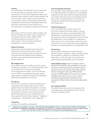#### **Intersex**:

An umbrella term that describes a person born with sex characteristics (e.g. genetic, genital, sexual/ reproductive or hormonal configurations) that do not fit typical binary notions of male or female bodies. The term describes a wide range of natural variations in human bodies. Intersex is frequently confused with transgender, but the two are completely distinct and generally unconnected. A more familiar term, hermaphrodite, is considered outdated and offensive.

#### **LGBTQ:**

An acronym commonly used to refer to Lesbian, Gay, Bisexual, Transgender, Queer and/or Questioning individuals and communities. LGBTQ is often erroneously used as a synonym for "nonheterosexual," which incorrectly implies that transgender is a *sexual orientation.*

#### **Medical Transition:**

A long-term series of medical interventions that utilizes hormonal treatments and/or surgical interventions to change a person's body to be more congruent with their gender identity. Medical transition is the approved medical treatment for *Gender Dysphoria.*

#### **Microaggressions:**

Small, individual acts of hostility or derision toward transgender or gender non-conforming people, which can sometimes be unintentional. Examples of microaggressions include: use of non-affirming name or pronouns, derogatory language, asking inappropriate or offensive questions, and exhibiting looks that reveal distaste or confusion.

#### **Non-Binary:**

A continuum or spectrum of gender identities and expressions, often based on the rejection of the gender binary's assumption that gender is strictly an either/or option of male/men/masculine or female/ woman/feminine based on sex assigned at birth. Words that people may use to express their nonbinary gender identity include "agender," "bigender," "genderqueer," "genderfluid," and "pangender."

#### **(Anti-Transgender) Prejudice:**

An individual's negative attitudes, beliefs, or reactions to transgender people. Examples of anti-transgender prejudice include: believing that transgender people are mentally disturbed, being uncomfortable sharing space with a transgender person, or thinking that transgender people should not be allowed to use public bathrooms.

#### **Pubertal Suppression:**

A low-risk medical process that "pauses" the hormonal changes that activate puberty in young adolescents. The result is a purposeful delay of the development of secondary sex characteristics (e.g. breast growth, testicular enlargement, facial hair, body fat redistribution, voice changes, etc.). Suppression allows more time to make decisions about hormonal interventions and can prevent the increased dysphoria that often accompanies puberty for transgender youth.

#### **Questioning:**

A person who is exploring or questioning their gender identity or expression. Some may later identify as *transgender* or *gender non-conforming*, while others may not. Can also refer to someone who is questioning or exploring their sexual orientation.

**Same-Gender Loving** A label sometimes used by members of the African-American/Black community to express an alternative sexual orientation without relying on terms and symbols of European descent. The term emerged in the early 1990's with the intention of offering Black women who love women and Black men who love men a voice, a way of identifying and being that resonated with the uniqueness of Black culture. (Sometimes abbreviated "SGL.")

#### **Sex Assigned at Birth:**

The determination of a person's sex based on the visual appearance of the genitals at birth. The sex someone is labeled at birth.

#### **Pangender:**

A person who identifies as all genders.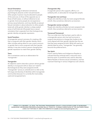#### **Sexual Orientation:**

A person's feelings of attraction (emotional, psychological, physical, and/or sexual) towards other people. A person may be attracted to people of the same sex, to those of the opposite sex, to those of both sexes, or without reference to sex or gender. And some people do not experience primary sexual attraction, and may identify as asexual. Sexual orientation is about attraction to other people (external), while *gender identity* is a deep-seated sense of *self* (internal). All people have a sexual orientation that is separate from their biological sex, gender identity and gender expression.

#### **Social Transition:**

A transgender person's process of a creating a life that is congruent with their gender identity, which often includes asking others to use a name, pronoun, or gender that is more congruent with their gender identity. It may also involve a person changing their gender expression to match their gender identity.

#### **Trans:**

This is sometimes used as an abbreviation for "transgender."

#### **Transgender:**

An adjective used to describe a person whose gender identity is incongruent with (or does not "match") the biological sex they were assigned at birth. "Transgender" serves an umbrella term to refer to the

full range and diversity of identities within transgender communities because it is currently the most widely used and recognized term.

#### **(Transgender) Ally:**

A cisgender person who supports, affrms, is in solidarity with, or advocates for transgender people.

#### **Transgender men and boys:**

People who identify as male, but were assigned female at birth. Also sometimes referred to as transmen.

#### **Transgender women and girls:**

People who identify as female, but were assigned male at birth. Also sometimes referred to as trans women.

#### **Transexual/Transsexual:**

This is an older term that has been used to refer to a transgender person who has had hormonal or surgical interventions to change their bodies to be more aligned with their gender identity than the sex that they were assigned at birth. While still used as an identity label by some, "transgender" has generally become the preferred term.

#### **Two Spirit:**

A term used by Native and Indigenous Peoples to indicate that they embody both a masculine and a feminine spirit. Is sometimes also used to describe Native Peoples of diverse sexual orientations, and has nuanced meanings in various indigenous sub-cultures.